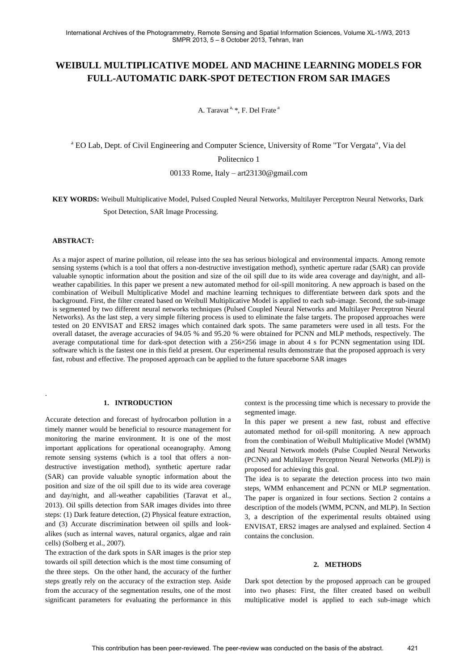# **WEIBULL MULTIPLICATIVE MODEL AND MACHINE LEARNING MODELS FOR FULL-AUTOMATIC DARK-SPOT DETECTION FROM SAR IMAGES**

A. Taravat<sup>a, \*</sup>, F. Del Frate<sup>a</sup>

<sup>a</sup> EO Lab, Dept. of Civil Engineering and Computer Science, University of Rome "Tor Vergata", Via del

Politecnico 1

00133 Rome, Italy – art23130@gmail.com

**KEY WORDS:** Weibull Multiplicative Model, Pulsed Coupled Neural Networks, Multilayer Perceptron Neural Networks, Dark Spot Detection, SAR Image Processing.

# **ABSTRACT:**

.

As a major aspect of marine pollution, oil release into the sea has serious biological and environmental impacts. Among remote sensing systems (which is a tool that offers a non-destructive investigation method), synthetic aperture radar (SAR) can provide valuable synoptic information about the position and size of the oil spill due to its wide area coverage and day/night, and allweather capabilities. In this paper we present a new automated method for oil-spill monitoring. A new approach is based on the combination of Weibull Multiplicative Model and machine learning techniques to differentiate between dark spots and the background. First, the filter created based on Weibull Multiplicative Model is applied to each sub-image. Second, the sub-image is segmented by two different neural networks techniques (Pulsed Coupled Neural Networks and Multilayer Perceptron Neural Networks). As the last step, a very simple filtering process is used to eliminate the false targets. The proposed approaches were tested on 20 ENVISAT and ERS2 images which contained dark spots. The same parameters were used in all tests. For the overall dataset, the average accuracies of 94.05 % and 95.20 % were obtained for PCNN and MLP methods, respectively. The average computational time for dark-spot detection with a 256×256 image in about 4 s for PCNN segmentation using IDL software which is the fastest one in this field at present. Our experimental results demonstrate that the proposed approach is very fast, robust and effective. The proposed approach can be applied to the future spaceborne SAR images

# **1. INTRODUCTION**

Accurate detection and forecast of hydrocarbon pollution in a timely manner would be beneficial to resource management for monitoring the marine environment. It is one of the most important applications for operational oceanography. Among remote sensing systems (which is a tool that offers a nondestructive investigation method), synthetic aperture radar (SAR) can provide valuable synoptic information about the position and size of the oil spill due to its wide area coverage and day/night, and all-weather capabilities [\(Taravat et al.,](#page-3-0)  [2013\)](#page-3-0). Oil spills detection from SAR images divides into three steps: (1) Dark feature detection, (2) Physical feature extraction, and (3) Accurate discrimination between oil spills and lookalikes (such as internal waves, natural organics, algae and rain cells) [\(Solberg et al., 2007\)](#page-3-1).

The extraction of the dark spots in SAR images is the prior step towards oil spill detection which is the most time consuming of the three steps. On the other hand, the accuracy of the further steps greatly rely on the accuracy of the extraction step. Aside from the accuracy of the segmentation results, one of the most significant parameters for evaluating the performance in this

context is the processing time which is necessary to provide the segmented image.

In this paper we present a new fast, robust and effective automated method for oil-spill monitoring. A new approach from the combination of Weibull Multiplicative Model (WMM) and Neural Network models (Pulse Coupled Neural Networks (PCNN) and Multilayer Perceptron Neural Networks (MLP)) is proposed for achieving this goal.

The idea is to separate the detection process into two main steps, WMM enhancement and PCNN or MLP segmentation. The paper is organized in four sections. Section 2 contains a description of the models (WMM, PCNN, and MLP). In Section 3, a description of the experimental results obtained using ENVISAT, ERS2 images are analysed and explained. Section 4 contains the conclusion.

## **2. METHODS**

Dark spot detection by the proposed approach can be grouped into two phases: First, the filter created based on weibull multiplicative model is applied to each sub-image which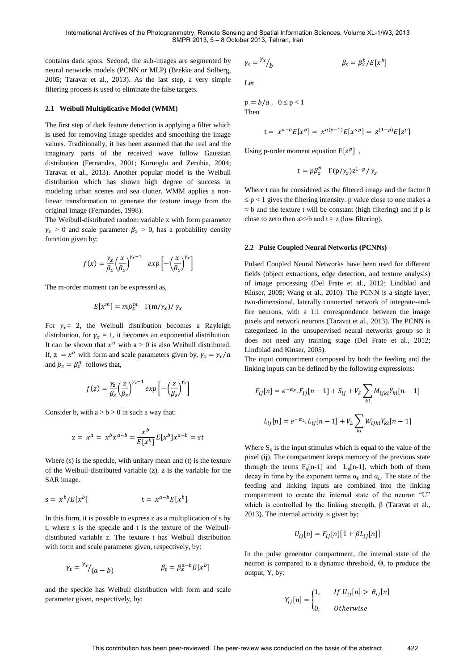contains dark spots. Second, the sub-images are segmented by neural networks models (PCNN or MLP) [\(Brekke and Solberg,](#page-3-2)  [2005;](#page-3-2) [Taravat et al., 2013\)](#page-3-0). As the last step, a very simple filtering process is used to eliminate the false targets.

#### **2.1 Weibull Multiplicative Model (WMM)**

The first step of dark feature detection is applying a filter which is used for removing image speckles and smoothing the image values. Traditionally, it has been assumed that the real and the imaginary parts of the received wave follow Gaussian distribution [\(Fernandes, 2001;](#page-3-3) [Kuruoglu and Zerubia, 2004;](#page-3-4) [Taravat et al., 2013\)](#page-3-0). Another popular model is the Weibull distribution which has shown high degree of success in modeling urban scenes and sea clutter. WMM applies a nonlinear transformation to generate the texture image from the original image [\(Fernandes, 1998\)](#page-3-5).

The Weibull-distributed random variable x with form parameter  $\gamma_x > 0$  and scale parameter  $\beta_x > 0$ , has a probability density function given by:

$$
f(x) = \frac{\gamma_x}{\beta_x} \left(\frac{x}{\beta_x}\right)^{\gamma_x - 1} \exp\left[-\left(\frac{x}{\beta_x}\right)^{\gamma_x}\right]
$$

The m-order moment can be expressed as,

$$
E[x^m] = m\beta_x^m \Gamma(m/\gamma_x)/\gamma_x
$$

For  $\gamma_x = 2$ , the Weibull distribution becomes a Rayleigh distribution, for  $\gamma_x = 1$ , it becomes an exponential distribution. It can be shown that  $x^a$  with a > 0 is also Weibull distributed. If,  $z = x^a$  with form and scale parameters given by, and  $\beta_z = \beta_x^a$  follows that,

$$
f(z) = \frac{\gamma_z}{\beta_z} \left(\frac{z}{\beta_z}\right)^{\gamma_z - 1} \exp\left[-\left(\frac{z}{\beta_z}\right)^{\gamma_z}\right]
$$

Consider b, with  $a > b > 0$  in such a way that:

$$
z = x^a = x^b x^{a-b} = \frac{x^b}{E[x^b]} E[x^b] x^{a-b} = st
$$

Where (s) is the speckle, with unitary mean and (t) is the texture of the Weibull-distributed variable (z). z is the variable for the SAR image.

$$
s = x^b / E[x^b]
$$
  $t = x^{a-b} E[x^b]$ 

In this form, it is possible to express z as a multiplication of s by t, where s is the speckle and t is the texture of the Weibulldistributed variable z. The texture t has Weibull distribution with form and scale parameter given, respectively, by:

$$
\gamma_t = \frac{\gamma_x}{(a-b)} \qquad \qquad \beta_t = \beta_x^{a-b} E[x^b]
$$

and the speckle has Weibull distribution with form and scale parameter given, respectively, by:

$$
\gamma_s = \frac{\gamma_x}{b} \qquad \qquad \beta_s = \beta_x^b / E[x^b]
$$

Let

 $p = b/a$ ,  $0 \le p < 1$ Then

$$
t = x^{a-b} E[x^b] = x^{a(p-1)} E[x^{ap}] = z^{(1-p)} E[z^p]
$$

Using p-order moment equation  $E[z^p]$ ,

$$
t = p\beta_z^p \Gamma(p/\gamma_z) z^{1-p}/\gamma_z
$$

Where t can be considered as the filtered image and the factor 0  $\leq p < 1$  gives the filtering intensity. p value close to one makes a  $\approx$  b and the texture t will be constant (high filtering) and if p is close to zero then a>>b and  $t \approx z$  (low filtering).

#### **2.2 Pulse Coupled Neural Networks (PCNNs)**

Pulsed Coupled Neural Networks have been used for different fields (object extractions, edge detection, and texture analysis) of image processing [\(Del Frate et al., 2012;](#page-3-6) [Lindblad and](#page-3-7)  [Kinser, 2005;](#page-3-7) [Wang et al., 2010\)](#page-3-8). The PCNN is a single layer, two-dimensional, laterally connected network of integrate-andfire neurons, with a 1:1 correspondence between the image pixels and network neurons [\(Taravat et al., 2013\)](#page-3-0). The PCNN is categorized in the unsupervised neural networks group so it does not need any training stage [\(Del Frate et al., 2012;](#page-3-6) [Lindblad and Kinser, 2005\)](#page-3-7).

The input compartment composed by both the feeding and the linking inputs can be defined by the following expressions:

$$
F_{ij}[n] = e^{-\alpha_F} F_{ij}[n-1] + S_{ij} + V_F \sum_{kl} M_{ijkl} Y_{kl}[n-1]
$$
  

$$
L_{ij}[n] = e^{-\alpha_L} L_{ij}[n-1] + V_L \sum_{kl} W_{ijkl} Y_{kl}[n-1]
$$

Where  $S_{ij}$  is the input stimulus which is equal to the value of the pixel (ij). The compartment keeps memory of the previous state through the terms  $F_{ii}[n-1]$  and  $L_{ii}[n-1]$ , which both of them decay in time by the exponent terms  $\alpha_F$  and  $\alpha_L$ . The state of the feeding and linking inputs are combined into the linking compartment to create the internal state of the neuron "U" which is controlled by the linking strength, β [\(Taravat et al.,](#page-3-0)  [2013\)](#page-3-0). The internal activity is given by:

$$
U_{ij}[n] = F_{ij}[n]\{1 + \beta L_{ij}[n]\}
$$

In the pulse generator compartment, the internal state of the neuron is compared to a dynamic threshold, Θ, to produce the output, Y, by:

$$
Y_{ij}[n] = \begin{cases} 1, & \text{if } U_{ij}[n] > \theta_{ij}[n] \\ 0, & \text{otherwise} \end{cases}
$$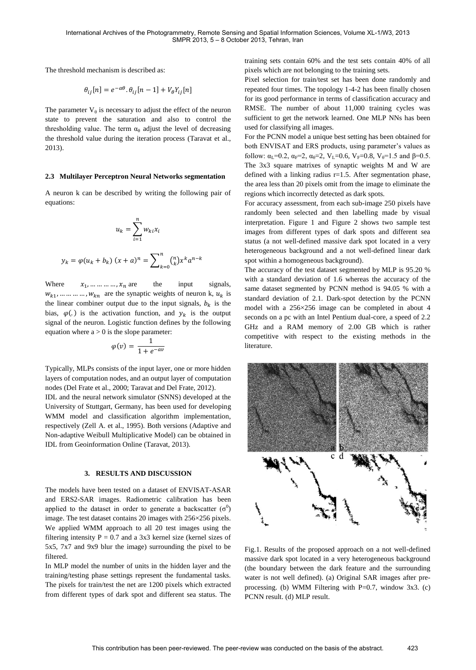The threshold mechanism is described as:

$$
\theta_{ij}[n] = e^{-\alpha \theta} \cdot \theta_{ij}[n-1] + V_{\theta} Y_{ij}[n]
$$

The parameter  $V_{\theta}$  is necessary to adjust the effect of the neuron state to prevent the saturation and also to control the thresholding value. The term  $\alpha_{\theta}$  adjust the level of decreasing the threshold value during the iteration process [\(Taravat et al.,](#page-3-0)  [2013\)](#page-3-0).

#### **2.3 Multilayer Perceptron Neural Networks segmentation**

A neuron k can be described by writing the following pair of equations:

$$
u_k = \sum_{i=1}^{n} w_{ki} x_i
$$
  

$$
y_k = \varphi(u_k + b_k) (x + a)^n = \sum_{k=0}^{n} {n \choose k} x^k a^{n-k}
$$

Where  $x_1, \dots, x_n$  are the input signals,  $w_{k1}$ , ... ... ... ...  $w_{kn}$  are the synaptic weights of neuron k,  $u_k$  is the linear combiner output due to the input signals,  $b_k$  is the bias,  $\varphi(.)$  is the activation function, and  $y_k$  is the output signal of the neuron. Logistic function defines by the following equation where  $a > 0$  is the slope parameter:

$$
\varphi(v) = \frac{1}{1 + e^{-av}}
$$

Typically, MLPs consists of the input layer, one or more hidden layers of computation nodes, and an output layer of computation nodes [\(Del Frate et al., 2000;](#page-3-9) [Taravat and Del Frate, 2012\)](#page-3-10).

IDL and the neural network simulator (SNNS) developed at the University of Stuttgart, Germany, has been used for developing WMM model and classification algorithm implementation, respectively [\(Zell A. et al., 1995\)](#page-3-11). Both versions (Adaptive and Non-adaptive Weibull Multiplicative Model) can be obtained in IDL from Geoinformation Online [\(Taravat, 2013\)](#page-3-12).

### **3. RESULTS AND DISCUSSION**

The models have been tested on a dataset of ENVISAT-ASAR and ERS2-SAR images. Radiometric calibration has been applied to the dataset in order to generate a backscatter  $(\sigma^0)$ image. The test dataset contains 20 images with 256×256 pixels. We applied WMM approach to all 20 test images using the filtering intensity  $P = 0.7$  and a 3x3 kernel size (kernel sizes of 5x5, 7x7 and 9x9 blur the image) surrounding the pixel to be filtered.

In MLP model the number of units in the hidden layer and the training/testing phase settings represent the fundamental tasks. The pixels for train/test the net are 1200 pixels which extracted from different types of dark spot and different sea status. The training sets contain 60% and the test sets contain 40% of all pixels which are not belonging to the training sets.

Pixel selection for train/test set has been done randomly and repeated four times. The topology 1-4-2 has been finally chosen for its good performance in terms of classification accuracy and RMSE. The number of about 11,000 training cycles was sufficient to get the network learned. One MLP NNs has been used for classifying all images.

For the PCNN model a unique best setting has been obtained for both ENVISAT and ERS products, using parameter's values as follow:  $\alpha_{\text{I}}$ =0.2,  $\alpha_{\text{F}}$ =2,  $\alpha_{\text{B}}$ =2,  $V_{\text{I}}$ =0.6,  $V_{\text{F}}$ =0.8,  $V_{\text{B}}$ =1.5 and  $\beta$ =0.5. The 3x3 square matrixes of synaptic weights M and W are defined with a linking radius r=1.5. After segmentation phase, the area less than 20 pixels omit from the image to eliminate the regions which incorrectly detected as dark spots.

For accuracy assessment, from each sub-image 250 pixels have randomly been selected and then labelling made by visual interpretation. Figure 1 and Figure 2 shows two sample test images from different types of dark spots and different sea status (a not well-defined massive dark spot located in a very heterogeneous background and a not well-defined linear dark spot within a homogeneous background).

The accuracy of the test dataset segmented by MLP is 95.20 % with a standard deviation of 1.6 whereas the accuracy of the same dataset segmented by PCNN method is 94.05 % with a standard deviation of 2.1. Dark-spot detection by the PCNN model with a 256×256 image can be completed in about 4 seconds on a pc with an Intel Pentium dual-core, a speed of 2.2 GHz and a RAM memory of 2.00 GB which is rather competitive with respect to the existing methods in the literature.



Fig.1. Results of the proposed approach on a not well-defined massive dark spot located in a very heterogeneous background (the boundary between the dark feature and the surrounding water is not well defined). (a) Original SAR images after preprocessing. (b) WMM Filtering with  $P=0.7$ , window 3x3. (c) PCNN result. (d) MLP result.